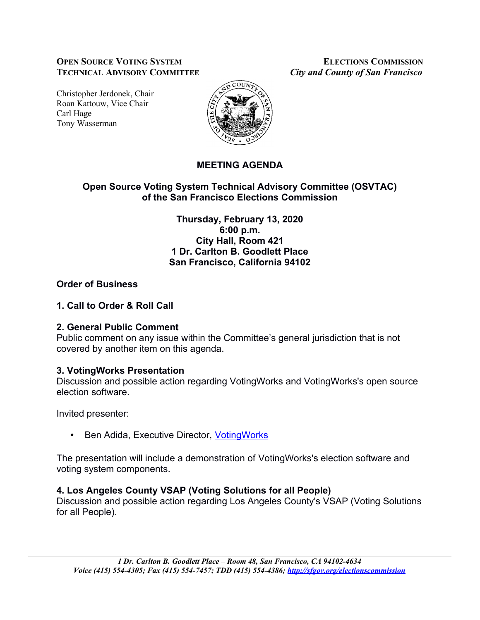#### **OPEN SOURCE VOTING SYSTEM ELECTIONS COMMISSION TECHNICAL ADVISORY COMMITTEE** *City and County of San Francisco*

Christopher Jerdonek, Chair Roan Kattouw, Vice Chair Carl Hage Tony Wasserman



# **MEETING AGENDA**

## **Open Source Voting System Technical Advisory Committee (OSVTAC) of the San Francisco Elections Commission**

**Thursday, February 13, 2020 6:00 p.m. City Hall, Room 421 1 Dr. Carlton B. Goodlett Place San Francisco, California 94102**

## **Order of Business**

## **1. Call to Order & Roll Call**

#### **2. General Public Comment**

Public comment on any issue within the Committee's general jurisdiction that is not covered by another item on this agenda.

## **3. VotingWorks Presentation**

Discussion and possible action regarding VotingWorks and VotingWorks's open source election software.

Invited presenter:

• Ben Adida, Executive Director, Voting Works

The presentation will include a demonstration of VotingWorks's election software and voting system components.

## **4. Los Angeles County VSAP (Voting Solutions for all People)**

Discussion and possible action regarding Los Angeles County's VSAP (Voting Solutions for all People).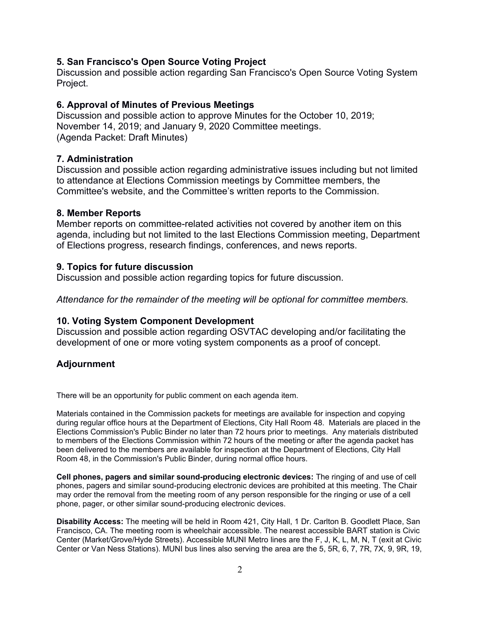#### **5. San Francisco's Open Source Voting Project**

Discussion and possible action regarding San Francisco's Open Source Voting System Project.

#### **6. Approval of Minutes of Previous Meetings**

Discussion and possible action to approve Minutes for the October 10, 2019; November 14, 2019; and January 9, 2020 Committee meetings. (Agenda Packet: Draft Minutes)

#### **7. Administration**

Discussion and possible action regarding administrative issues including but not limited to attendance at Elections Commission meetings by Committee members, the Committee's website, and the Committee's written reports to the Commission.

#### **8. Member Reports**

Member reports on committee-related activities not covered by another item on this agenda, including but not limited to the last Elections Commission meeting, Department of Elections progress, research findings, conferences, and news reports.

#### **9. Topics for future discussion**

Discussion and possible action regarding topics for future discussion.

*Attendance for the remainder of the meeting will be optional for committee members.*

#### **10. Voting System Component Development**

Discussion and possible action regarding OSVTAC developing and/or facilitating the development of one or more voting system components as a proof of concept.

#### **Adjournment**

There will be an opportunity for public comment on each agenda item.

Materials contained in the Commission packets for meetings are available for inspection and copying during regular office hours at the Department of Elections, City Hall Room 48. Materials are placed in the Elections Commission's Public Binder no later than 72 hours prior to meetings. Any materials distributed to members of the Elections Commission within 72 hours of the meeting or after the agenda packet has been delivered to the members are available for inspection at the Department of Elections, City Hall Room 48, in the Commission's Public Binder, during normal office hours.

**Cell phones, pagers and similar sound-producing electronic devices:** The ringing of and use of cell phones, pagers and similar sound-producing electronic devices are prohibited at this meeting. The Chair may order the removal from the meeting room of any person responsible for the ringing or use of a cell phone, pager, or other similar sound-producing electronic devices.

**Disability Access:** The meeting will be held in Room 421, City Hall, 1 Dr. Carlton B. Goodlett Place, San Francisco, CA. The meeting room is wheelchair accessible. The nearest accessible BART station is Civic Center (Market/Grove/Hyde Streets). Accessible MUNI Metro lines are the F, J, K, L, M, N, T (exit at Civic Center or Van Ness Stations). MUNI bus lines also serving the area are the 5, 5R, 6, 7, 7R, 7X, 9, 9R, 19,